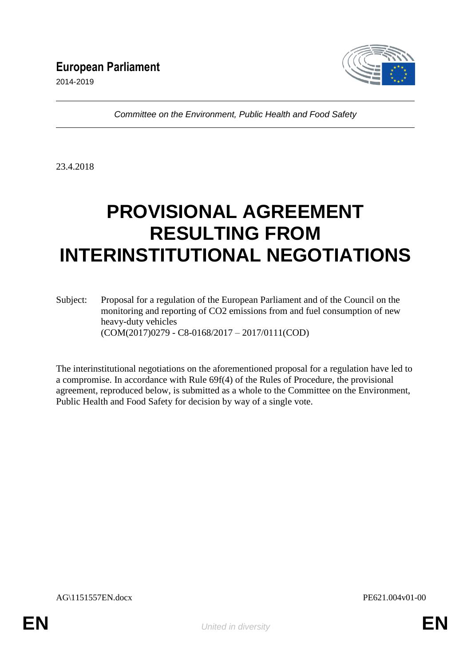

*Committee on the Environment, Public Health and Food Safety*

23.4.2018

# **PROVISIONAL AGREEMENT RESULTING FROM INTERINSTITUTIONAL NEGOTIATIONS**

Subject: Proposal for a regulation of the European Parliament and of the Council on the monitoring and reporting of CO2 emissions from and fuel consumption of new heavy-duty vehicles (COM(2017)0279 - C8-0168/2017 – 2017/0111(COD)

The interinstitutional negotiations on the aforementioned proposal for a regulation have led to a compromise. In accordance with Rule 69f(4) of the Rules of Procedure, the provisional agreement, reproduced below, is submitted as a whole to the Committee on the Environment, Public Health and Food Safety for decision by way of a single vote.

AG\1151557EN.docx PE621.004v01-00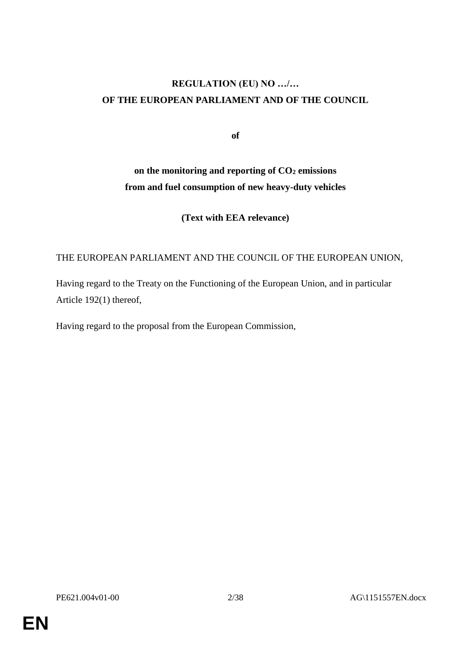# **REGULATION (EU) NO …/… OF THE EUROPEAN PARLIAMENT AND OF THE COUNCIL**

**of**

# **on the monitoring and reporting of CO<sup>2</sup> emissions from and fuel consumption of new heavy-duty vehicles**

**(Text with EEA relevance)**

# THE EUROPEAN PARLIAMENT AND THE COUNCIL OF THE EUROPEAN UNION,

Having regard to the Treaty on the Functioning of the European Union, and in particular Article 192(1) thereof,

Having regard to the proposal from the European Commission,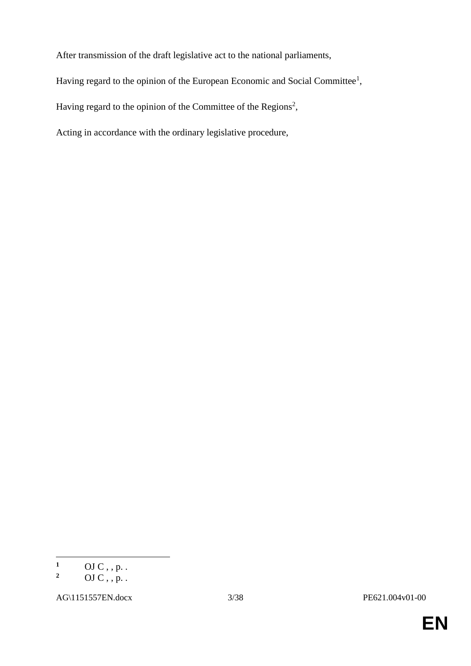After transmission of the draft legislative act to the national parliaments,

Having regard to the opinion of the European Economic and Social Committee<sup>1</sup>,

Having regard to the opinion of the Committee of the Regions<sup>2</sup>,

Acting in accordance with the ordinary legislative procedure,

 $\mathbf{1}$  $\frac{1}{2}$  OJ C, , p. .

**<sup>2</sup>** OJ C , , p. .

AG\1151557EN.docx 3/38 PE621.004v01-00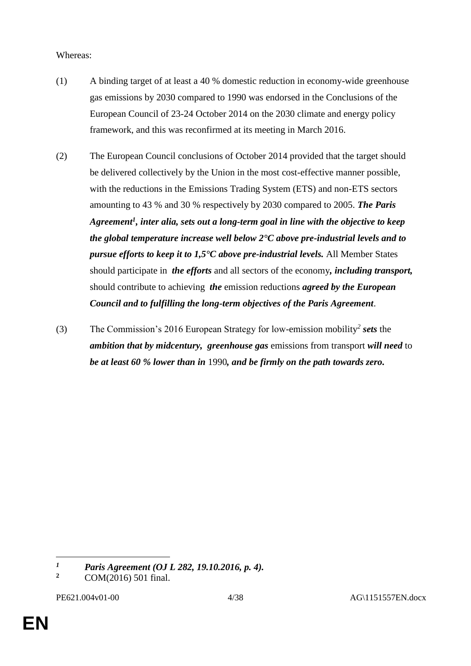#### Whereas:

- (1) A binding target of at least a 40 % domestic reduction in economy-wide greenhouse gas emissions by 2030 compared to 1990 was endorsed in the Conclusions of the European Council of 23-24 October 2014 on the 2030 climate and energy policy framework, and this was reconfirmed at its meeting in March 2016.
- (2) The European Council conclusions of October 2014 provided that the target should be delivered collectively by the Union in the most cost-effective manner possible, with the reductions in the Emissions Trading System (ETS) and non-ETS sectors amounting to 43 % and 30 % respectively by 2030 compared to 2005. *The Paris Agreement<sup>1</sup> , inter alia, sets out a long-term goal in line with the objective to keep the global temperature increase well below 2°C above pre-industrial levels and to pursue efforts to keep it to 1,5°C above pre-industrial levels.* All Member States should participate in *the efforts* and all sectors of the economy*, including transport,* should contribute to achieving *the* emission reductions *agreed by the European Council and to fulfilling the long-term objectives of the Paris Agreement*.
- (3) The Commission's 2016 European Strategy for low-emission mobility*<sup>2</sup> sets* the *ambition that by midcentury, greenhouse gas* emissions from transport *will need* to *be at least 60 % lower than in* 1990*, and be firmly on the path towards zero.*

 $\overline{a}$ 

*<sup>1</sup> Paris Agreement (OJ L 282, 19.10.2016, p. 4).*<br>2 *COM(2016)* 501 final

**<sup>2</sup>** COM(2016) 501 final.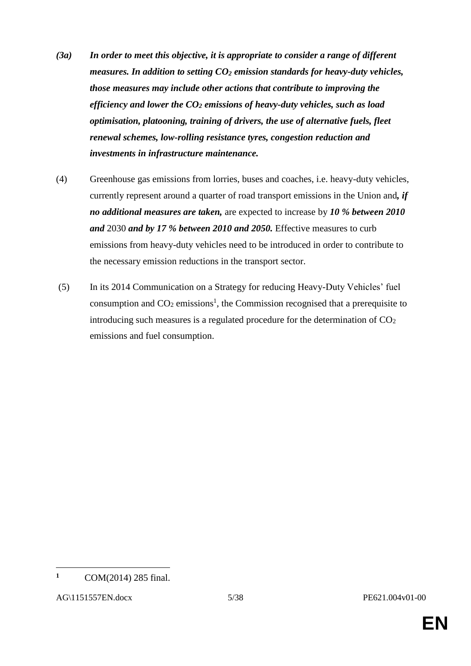- *(3a) In order to meet this objective, it is appropriate to consider a range of different measures. In addition to setting CO<sup>2</sup> emission standards for heavy-duty vehicles, those measures may include other actions that contribute to improving the efficiency and lower the CO<sup>2</sup> emissions of heavy-duty vehicles, such as load optimisation, platooning, training of drivers, the use of alternative fuels, fleet renewal schemes, low-rolling resistance tyres, congestion reduction and investments in infrastructure maintenance.*
- (4) Greenhouse gas emissions from lorries, buses and coaches, i.e. heavy-duty vehicles, currently represent around a quarter of road transport emissions in the Union and*, if no additional measures are taken,* are expected to increase by *10 % between 2010 and* 2030 *and by 17 % between 2010 and 2050.* Effective measures to curb emissions from heavy-duty vehicles need to be introduced in order to contribute to the necessary emission reductions in the transport sector.
- (5) In its 2014 Communication on a Strategy for reducing Heavy-Duty Vehicles' fuel consumption and  $CO<sub>2</sub>$  emissions<sup>1</sup>, the Commission recognised that a prerequisite to introducing such measures is a regulated procedure for the determination of  $CO<sub>2</sub>$ emissions and fuel consumption.

 $\overline{a}$ 

**<sup>1</sup>** COM(2014) 285 final.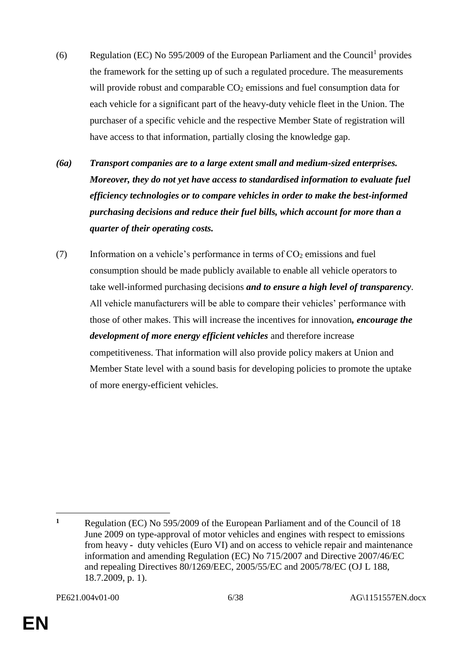- (6) Regulation (EC) No 595/2009 of the European Parliament and the Council<sup>1</sup> provides the framework for the setting up of such a regulated procedure. The measurements will provide robust and comparable  $CO<sub>2</sub>$  emissions and fuel consumption data for each vehicle for a significant part of the heavy-duty vehicle fleet in the Union. The purchaser of a specific vehicle and the respective Member State of registration will have access to that information, partially closing the knowledge gap.
- *(6a) Transport companies are to a large extent small and medium-sized enterprises. Moreover, they do not yet have access to standardised information to evaluate fuel efficiency technologies or to compare vehicles in order to make the best-informed purchasing decisions and reduce their fuel bills, which account for more than a quarter of their operating costs.*
- (7) Information on a vehicle's performance in terms of  $CO<sub>2</sub>$  emissions and fuel consumption should be made publicly available to enable all vehicle operators to take well-informed purchasing decisions *and to ensure a high level of transparency*. All vehicle manufacturers will be able to compare their vehicles' performance with those of other makes. This will increase the incentives for innovation*, encourage the development of more energy efficient vehicles* and therefore increase competitiveness. That information will also provide policy makers at Union and Member State level with a sound basis for developing policies to promote the uptake of more energy-efficient vehicles.

 $\overline{a}$ **<sup>1</sup>** Regulation (EC) No 595/2009 of the European Parliament and of the Council of 18 June 2009 on type-approval of motor vehicles and engines with respect to emissions from heavy *-* duty vehicles (Euro VI) and on access to vehicle repair and maintenance information and amending Regulation (EC) No 715/2007 and Directive 2007/46/EC and repealing Directives 80/1269/EEC, 2005/55/EC and 2005/78/EC (OJ L 188, 18.7.2009, p. 1).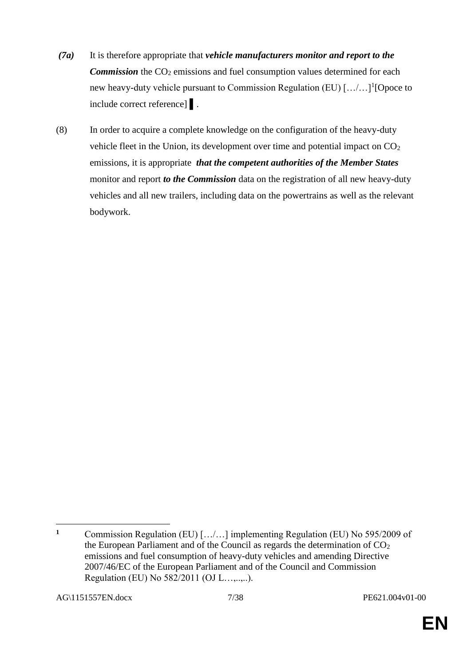- *(7a)* It is therefore appropriate that *vehicle manufacturers monitor and report to the Commission* the CO<sub>2</sub> emissions and fuel consumption values determined for each new heavy-duty vehicle pursuant to Commission Regulation (EU) [.../...]<sup>1</sup>[Opoce to include correct reference] ▌.
- (8) In order to acquire a complete knowledge on the configuration of the heavy-duty vehicle fleet in the Union, its development over time and potential impact on  $CO<sub>2</sub>$ emissions, it is appropriate *that the competent authorities of the Member States* monitor and report *to the Commission* data on the registration of all new heavy-duty vehicles and all new trailers, including data on the powertrains as well as the relevant bodywork.

 $\mathbf{1}$ **<sup>1</sup>** Commission Regulation (EU) […/…] implementing Regulation (EU) No 595/2009 of the European Parliament and of the Council as regards the determination of  $CO<sub>2</sub>$ emissions and fuel consumption of heavy-duty vehicles and amending Directive 2007/46/EC of the European Parliament and of the Council and Commission Regulation (EU) No 582/2011 (OJ L…,..,..).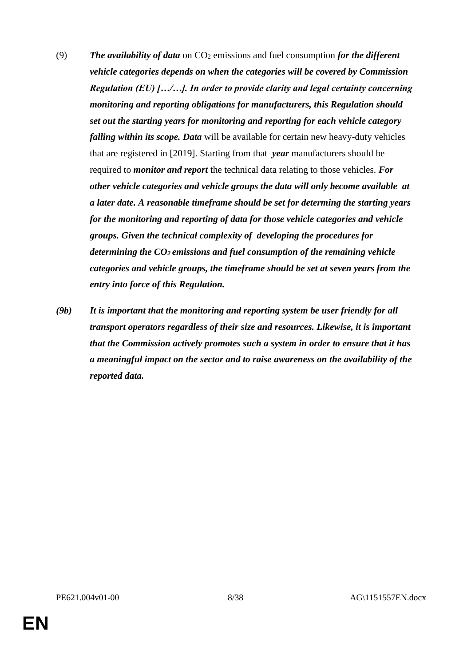- (9) *The availability of data* on CO<sup>2</sup> emissions and fuel consumption *for the different vehicle categories depends on when the categories will be covered by Commission Regulation (EU) […/…]. In order to provide clarity and legal certainty concerning monitoring and reporting obligations for manufacturers, this Regulation should set out the starting years for monitoring and reporting for each vehicle category falling within its scope. Data* will be available for certain new heavy-duty vehicles that are registered in [2019]. Starting from that *year* manufacturers should be required to *monitor and report* the technical data relating to those vehicles. *For other vehicle categories and vehicle groups the data will only become available at a later date. A reasonable timeframe should be set for determing the starting years for the monitoring and reporting of data for those vehicle categories and vehicle groups. Given the technical complexity of developing the procedures for determining the CO2 emissions and fuel consumption of the remaining vehicle categories and vehicle groups, the timeframe should be set at seven years from the entry into force of this Regulation.*
- *(9b) It is important that the monitoring and reporting system be user friendly for all transport operators regardless of their size and resources. Likewise, it is important that the Commission actively promotes such a system in order to ensure that it has a meaningful impact on the sector and to raise awareness on the availability of the reported data.*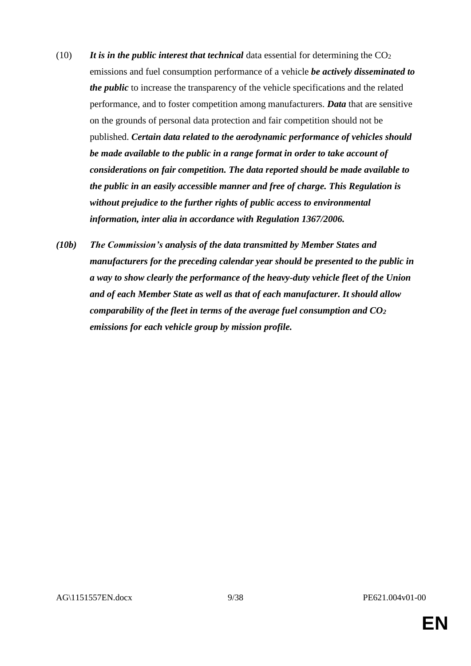- (10) **It is in the public interest that technical** data essential for determining the  $CO<sub>2</sub>$ emissions and fuel consumption performance of a vehicle *be actively disseminated to the public* to increase the transparency of the vehicle specifications and the related performance, and to foster competition among manufacturers. *Data* that are sensitive on the grounds of personal data protection and fair competition should not be published. *Certain data related to the aerodynamic performance of vehicles should be made available to the public in a range format in order to take account of considerations on fair competition. The data reported should be made available to the public in an easily accessible manner and free of charge. This Regulation is without prejudice to the further rights of public access to environmental information, inter alia in accordance with Regulation 1367/2006.*
- *(10b) The Commission's analysis of the data transmitted by Member States and manufacturers for the preceding calendar year should be presented to the public in a way to show clearly the performance of the heavy-duty vehicle fleet of the Union and of each Member State as well as that of each manufacturer. It should allow comparability of the fleet in terms of the average fuel consumption and CO<sup>2</sup> emissions for each vehicle group by mission profile.*

**EN**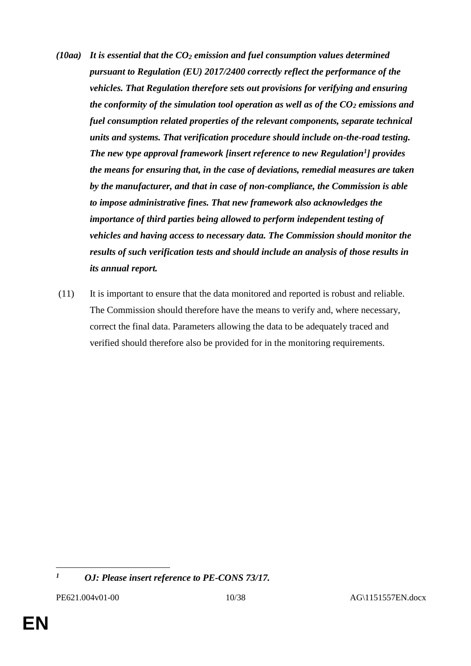- *(10aa) It is essential that the CO<sup>2</sup> emission and fuel consumption values determined pursuant to Regulation (EU) 2017/2400 correctly reflect the performance of the vehicles. That Regulation therefore sets out provisions for verifying and ensuring the conformity of the simulation tool operation as well as of the CO<sup>2</sup> emissions and fuel consumption related properties of the relevant components, separate technical units and systems. That verification procedure should include on-the-road testing. The new type approval framework [insert reference to new Regulation<sup>1</sup> ] provides the means for ensuring that, in the case of deviations, remedial measures are taken by the manufacturer, and that in case of non-compliance, the Commission is able to impose administrative fines. That new framework also acknowledges the importance of third parties being allowed to perform independent testing of vehicles and having access to necessary data. The Commission should monitor the results of such verification tests and should include an analysis of those results in its annual report.*
- (11) It is important to ensure that the data monitored and reported is robust and reliable. The Commission should therefore have the means to verify and, where necessary, correct the final data. Parameters allowing the data to be adequately traced and verified should therefore also be provided for in the monitoring requirements.

 $\overline{a}$ 

*<sup>1</sup> OJ: Please insert reference to PE-CONS 73/17.*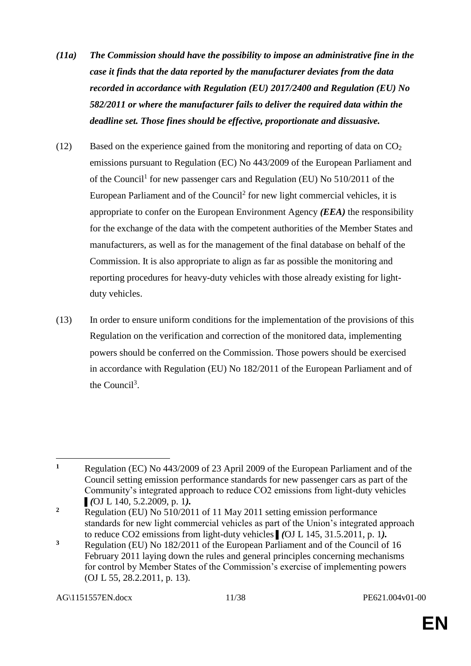- *(11a) The Commission should have the possibility to impose an administrative fine in the case it finds that the data reported by the manufacturer deviates from the data recorded in accordance with Regulation (EU) 2017/2400 and Regulation (EU) No 582/2011 or where the manufacturer fails to deliver the required data within the deadline set. Those fines should be effective, proportionate and dissuasive.*
- (12) Based on the experience gained from the monitoring and reporting of data on  $\text{CO}_2$ emissions pursuant to Regulation (EC) No 443/2009 of the European Parliament and of the Council<sup>1</sup> for new passenger cars and Regulation (EU) No 510/2011 of the European Parliament and of the Council<sup>2</sup> for new light commercial vehicles, it is appropriate to confer on the European Environment Agency *(EEA)* the responsibility for the exchange of the data with the competent authorities of the Member States and manufacturers, as well as for the management of the final database on behalf of the Commission. It is also appropriate to align as far as possible the monitoring and reporting procedures for heavy-duty vehicles with those already existing for lightduty vehicles.
- (13) In order to ensure uniform conditions for the implementation of the provisions of this Regulation on the verification and correction of the monitored data, implementing powers should be conferred on the Commission. Those powers should be exercised in accordance with Regulation (EU) No 182/2011 of the European Parliament and of the Council<sup>3</sup>.

 $\overline{a}$ 

**<sup>1</sup>** Regulation (EC) No 443/2009 of 23 April 2009 of the European Parliament and of the Council setting emission performance standards for new passenger cars as part of the Community's integrated approach to reduce CO2 emissions from light-duty vehicles ▌*(*OJ L 140, 5.2.2009, p. 1*).*

**<sup>2</sup>** Regulation (EU) No 510/2011 of 11 May 2011 setting emission performance standards for new light commercial vehicles as part of the Union's integrated approach to reduce CO2 emissions from light-duty vehicles ▌*(*OJ L 145, 31.5.2011, p. 1*).*

**<sup>3</sup>** Regulation (EU) No 182/2011 of the European Parliament and of the Council of 16 February 2011 laying down the rules and general principles concerning mechanisms for control by Member States of the Commission's exercise of implementing powers (OJ L 55, 28.2.2011, p. 13).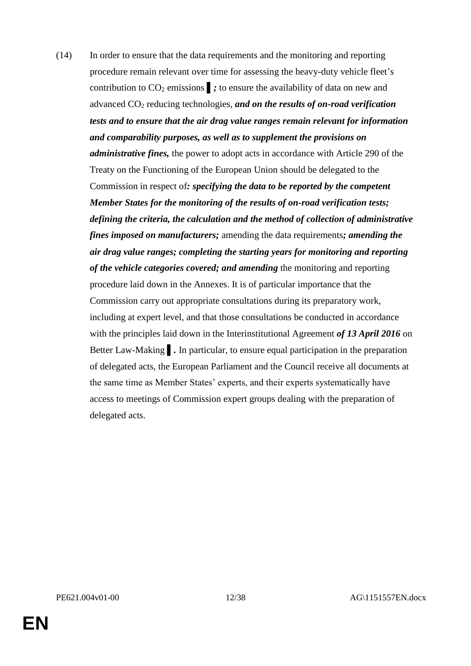(14) In order to ensure that the data requirements and the monitoring and reporting procedure remain relevant over time for assessing the heavy-duty vehicle fleet's contribution to CO<sup>2</sup> emissions ▌*;* to ensure the availability of data on new and advanced CO<sup>2</sup> reducing technologies, *and on the results of on-road verification tests and to ensure that the air drag value ranges remain relevant for information and comparability purposes, as well as to supplement the provisions on administrative fines,* the power to adopt acts in accordance with Article 290 of the Treaty on the Functioning of the European Union should be delegated to the Commission in respect of*: specifying the data to be reported by the competent Member States for the monitoring of the results of on-road verification tests; defining the criteria, the calculation and the method of collection of administrative fines imposed on manufacturers;* amending the data requirements*; amending the air drag value ranges; completing the starting years for monitoring and reporting of the vehicle categories covered; and amending* the monitoring and reporting procedure laid down in the Annexes. It is of particular importance that the Commission carry out appropriate consultations during its preparatory work, including at expert level, and that those consultations be conducted in accordance with the principles laid down in the Interinstitutional Agreement *of 13 April 2016* on Better Law-Making **.** In particular, to ensure equal participation in the preparation of delegated acts, the European Parliament and the Council receive all documents at the same time as Member States' experts, and their experts systematically have access to meetings of Commission expert groups dealing with the preparation of delegated acts.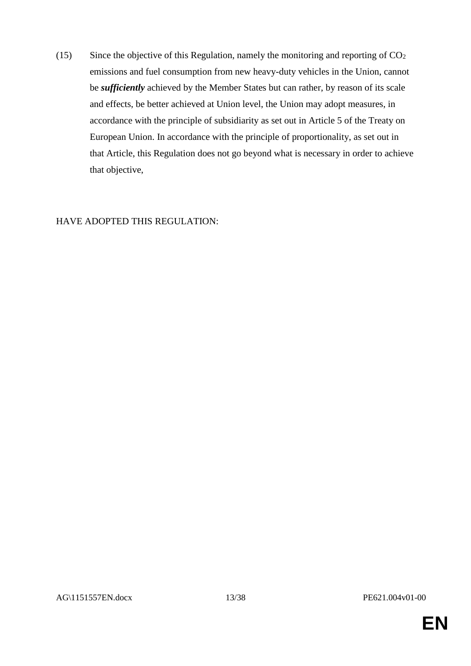(15) Since the objective of this Regulation, namely the monitoring and reporting of  $CO<sub>2</sub>$ emissions and fuel consumption from new heavy-duty vehicles in the Union, cannot be *sufficiently* achieved by the Member States but can rather, by reason of its scale and effects, be better achieved at Union level, the Union may adopt measures, in accordance with the principle of subsidiarity as set out in Article 5 of the Treaty on European Union. In accordance with the principle of proportionality, as set out in that Article, this Regulation does not go beyond what is necessary in order to achieve that objective,

#### HAVE ADOPTED THIS REGULATION: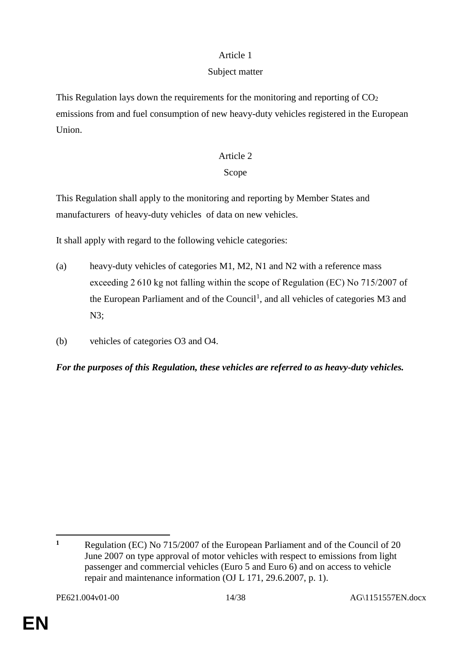# Subject matter

This Regulation lays down the requirements for the monitoring and reporting of  $CO<sub>2</sub>$ emissions from and fuel consumption of new heavy-duty vehicles registered in the European Union.

# Article 2

# Scope

This Regulation shall apply to the monitoring and reporting by Member States and manufacturers of heavy-duty vehicles of data on new vehicles.

It shall apply with regard to the following vehicle categories:

- (a) heavy-duty vehicles of categories M1, M2, N1 and N2 with a reference mass exceeding 2 610 kg not falling within the scope of Regulation (EC) No 715/2007 of the European Parliament and of the Council<sup>1</sup>, and all vehicles of categories M3 and N3;
- (b) vehicles of categories O3 and O4.

*For the purposes of this Regulation, these vehicles are referred to as heavy-duty vehicles.*

 $\overline{a}$ **<sup>1</sup>** Regulation (EC) No 715/2007 of the European Parliament and of the Council of 20 June 2007 on type approval of motor vehicles with respect to emissions from light passenger and commercial vehicles (Euro 5 and Euro 6) and on access to vehicle repair and maintenance information (OJ L 171, 29.6.2007, p. 1).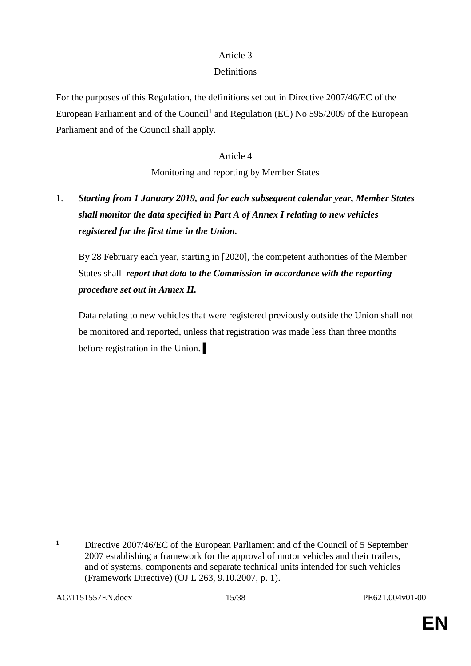# **Definitions**

For the purposes of this Regulation, the definitions set out in Directive 2007/46/EC of the European Parliament and of the Council<sup>1</sup> and Regulation (EC) No 595/2009 of the European Parliament and of the Council shall apply.

## Article 4

Monitoring and reporting by Member States

# 1. *Starting from 1 January 2019, and for each subsequent calendar year, Member States shall monitor the data specified in Part A of Annex I relating to new vehicles registered for the first time in the Union.*

By 28 February each year, starting in [2020], the competent authorities of the Member States shall *report that data to the Commission in accordance with the reporting procedure set out in Annex II.*

Data relating to new vehicles that were registered previously outside the Union shall not be monitored and reported, unless that registration was made less than three months before registration in the Union.

 $\overline{a}$ **<sup>1</sup>** Directive 2007/46/EC of the European Parliament and of the Council of 5 September 2007 establishing a framework for the approval of motor vehicles and their trailers, and of systems, components and separate technical units intended for such vehicles (Framework Directive) (OJ L 263, 9.10.2007, p. 1).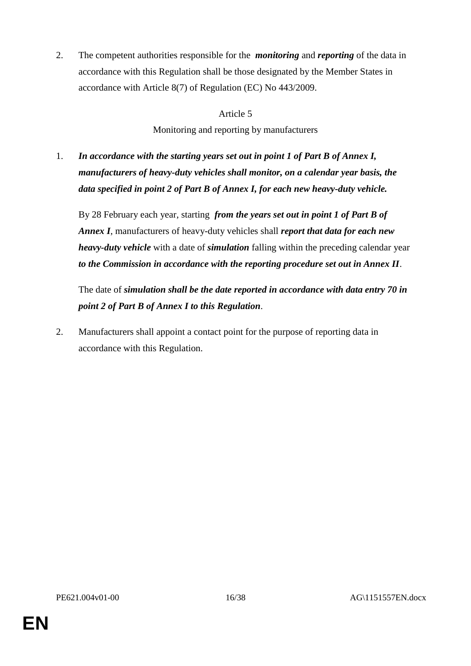2. The competent authorities responsible for the *monitoring* and *reporting* of the data in accordance with this Regulation shall be those designated by the Member States in accordance with Article 8(7) of Regulation (EC) No 443/2009.

#### Article 5

Monitoring and reporting by manufacturers

1. *In accordance with the starting years set out in point 1 of Part B of Annex I, manufacturers of heavy-duty vehicles shall monitor, on a calendar year basis, the data specified in point 2 of Part B of Annex I, for each new heavy-duty vehicle.*

By 28 February each year, starting *from the years set out in point 1 of Part B of Annex I*, manufacturers of heavy-duty vehicles shall *report that data for each new heavy-duty vehicle* with a date of *simulation* falling within the preceding calendar year *to the Commission in accordance with the reporting procedure set out in Annex II*.

The date of *simulation shall be the date reported in accordance with data entry 70 in point 2 of Part B of Annex I to this Regulation*.

2. Manufacturers shall appoint a contact point for the purpose of reporting data in accordance with this Regulation.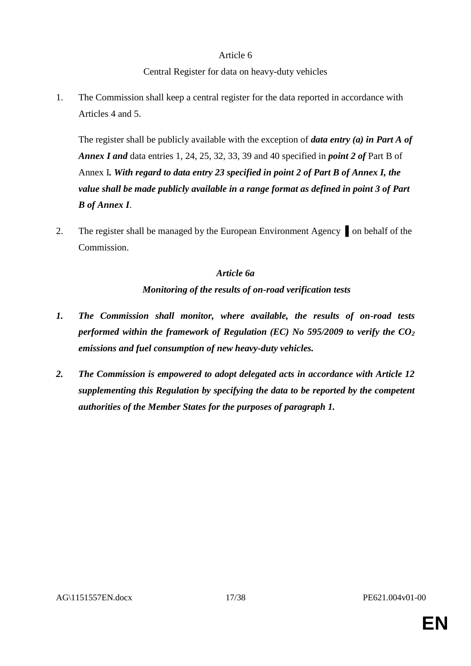# Central Register for data on heavy-duty vehicles

1. The Commission shall keep a central register for the data reported in accordance with Articles 4 and 5.

The register shall be publicly available with the exception of *data entry (a) in Part A of Annex I and* data entries 1, 24, 25, 32, 33, 39 and 40 specified in *point 2 of* Part B of Annex I*. With regard to data entry 23 specified in point 2 of Part B of Annex I, the value shall be made publicly available in a range format as defined in point 3 of Part B of Annex I*.

2. The register shall be managed by the European Environment Agency on behalf of the Commission.

# *Article 6a Monitoring of the results of on-road verification tests*

- *1. The Commission shall monitor, where available, the results of on-road tests performed within the framework of Regulation (EC) No 595/2009 to verify the CO*<sup>2</sup> *emissions and fuel consumption of new heavy-duty vehicles.*
- *2. The Commission is empowered to adopt delegated acts in accordance with Article 12 supplementing this Regulation by specifying the data to be reported by the competent authorities of the Member States for the purposes of paragraph 1.*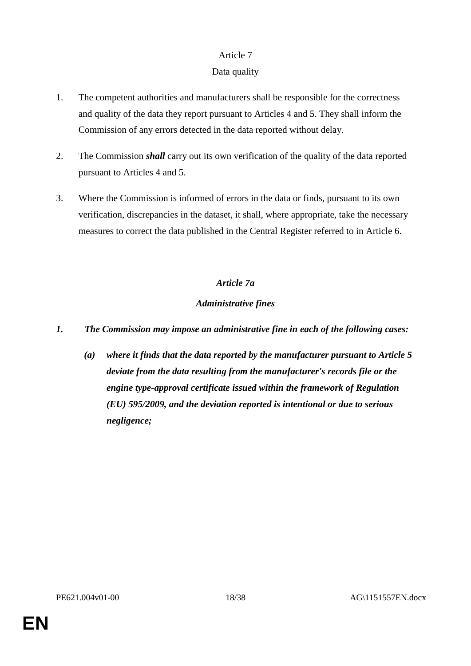# Data quality

- 1. The competent authorities and manufacturers shall be responsible for the correctness and quality of the data they report pursuant to Articles 4 and 5. They shall inform the Commission of any errors detected in the data reported without delay.
- 2. The Commission *shall* carry out its own verification of the quality of the data reported pursuant to Articles 4 and 5.
- 3. Where the Commission is informed of errors in the data or finds, pursuant to its own verification, discrepancies in the dataset, it shall, where appropriate, take the necessary measures to correct the data published in the Central Register referred to in Article 6.

# *Article 7a*

# *Administrative fines*

- *1. The Commission may impose an administrative fine in each of the following cases:*
	- *(a) where it finds that the data reported by the manufacturer pursuant to Article 5 deviate from the data resulting from the manufacturer's records file or the engine type-approval certificate issued within the framework of Regulation (EU) 595/2009, and the deviation reported is intentional or due to serious negligence;*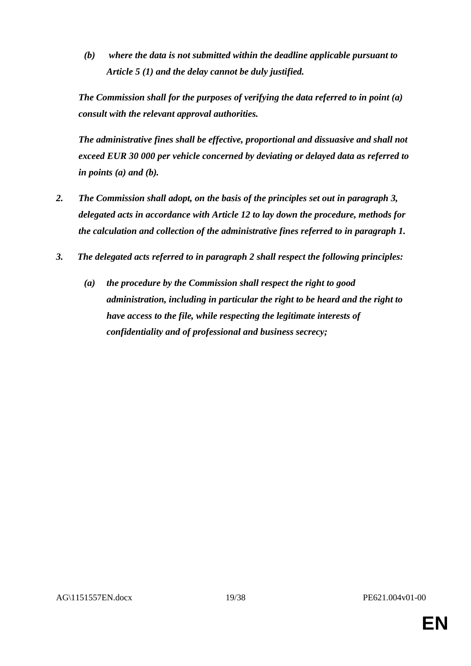*(b) where the data is not submitted within the deadline applicable pursuant to Article 5 (1) and the delay cannot be duly justified.* 

*The Commission shall for the purposes of verifying the data referred to in point (a) consult with the relevant approval authorities.*

*The administrative fines shall be effective, proportional and dissuasive and shall not exceed EUR 30 000 per vehicle concerned by deviating or delayed data as referred to in points (a) and (b).* 

- *2. The Commission shall adopt, on the basis of the principles set out in paragraph 3, delegated acts in accordance with Article 12 to lay down the procedure, methods for the calculation and collection of the administrative fines referred to in paragraph 1.*
- *3. The delegated acts referred to in paragraph 2 shall respect the following principles:*
	- *(a) the procedure by the Commission shall respect the right to good administration, including in particular the right to be heard and the right to have access to the file, while respecting the legitimate interests of confidentiality and of professional and business secrecy;*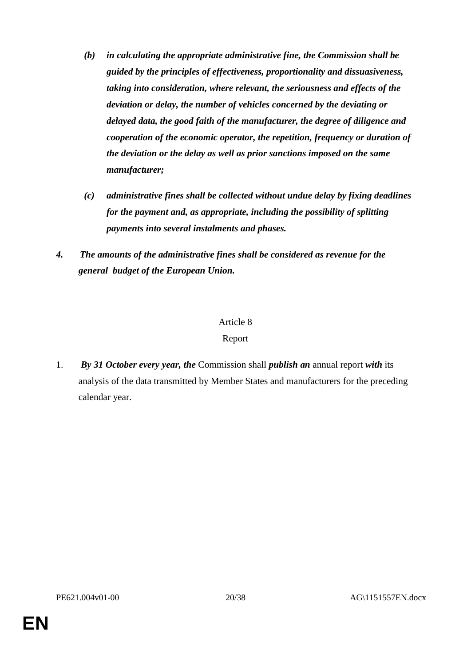- *(b) in calculating the appropriate administrative fine, the Commission shall be guided by the principles of effectiveness, proportionality and dissuasiveness, taking into consideration, where relevant, the seriousness and effects of the deviation or delay, the number of vehicles concerned by the deviating or delayed data, the good faith of the manufacturer, the degree of diligence and cooperation of the economic operator, the repetition, frequency or duration of the deviation or the delay as well as prior sanctions imposed on the same manufacturer;*
- *(c) administrative fines shall be collected without undue delay by fixing deadlines for the payment and, as appropriate, including the possibility of splitting payments into several instalments and phases.*
- *4. The amounts of the administrative fines shall be considered as revenue for the general budget of the European Union.*

#### Report

1. *By 31 October every year, the* Commission shall *publish an* annual report *with* its analysis of the data transmitted by Member States and manufacturers for the preceding calendar year.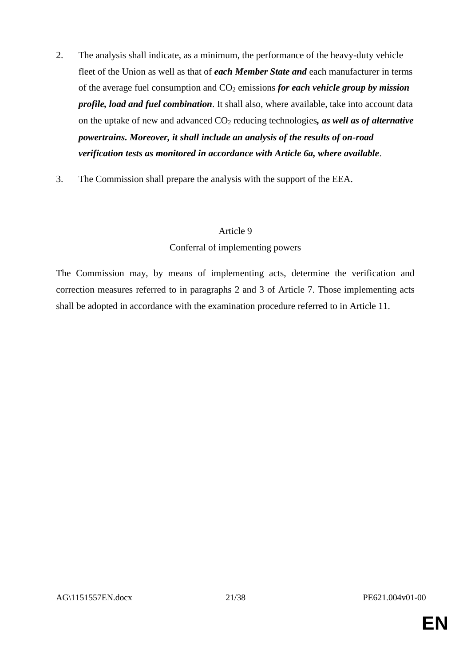- 2. The analysis shall indicate, as a minimum, the performance of the heavy-duty vehicle fleet of the Union as well as that of *each Member State and* each manufacturer in terms of the average fuel consumption and CO<sup>2</sup> emissions *for each vehicle group by mission profile, load and fuel combination*. It shall also, where available, take into account data on the uptake of new and advanced CO<sup>2</sup> reducing technologies*, as well as of alternative powertrains. Moreover, it shall include an analysis of the results of on-road verification tests as monitored in accordance with Article 6a, where available*.
- 3. The Commission shall prepare the analysis with the support of the EEA.

## Conferral of implementing powers

The Commission may, by means of implementing acts, determine the verification and correction measures referred to in paragraphs 2 and 3 of Article 7. Those implementing acts shall be adopted in accordance with the examination procedure referred to in Article 11.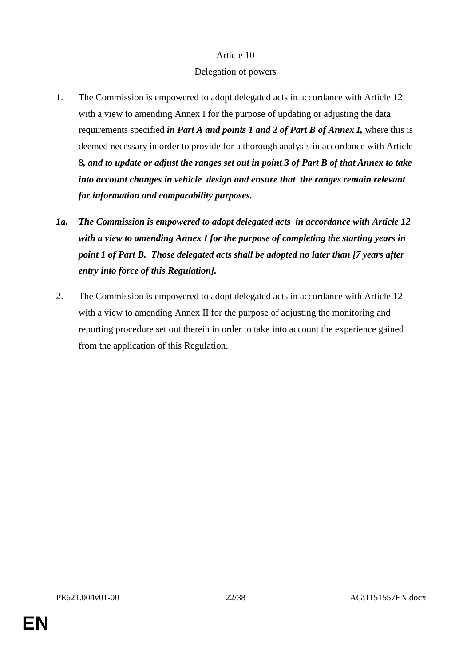## Delegation of powers

- 1. The Commission is empowered to adopt delegated acts in accordance with Article 12 with a view to amending Annex I for the purpose of updating or adjusting the data requirements specified *in Part A and points 1 and 2 of Part B of Annex I,* where this is deemed necessary in order to provide for a thorough analysis in accordance with Article 8*, and to update or adjust the ranges set out in point 3 of Part B of that Annex to take into account changes in vehicle design and ensure that the ranges remain relevant for information and comparability purposes.*
- *1a. The Commission is empowered to adopt delegated acts in accordance with Article 12 with a view to amending Annex I for the purpose of completing the starting years in point 1 of Part B. Those delegated acts shall be adopted no later than [7 years after entry into force of this Regulation].*
- 2. The Commission is empowered to adopt delegated acts in accordance with Article 12 with a view to amending Annex II for the purpose of adjusting the monitoring and reporting procedure set out therein in order to take into account the experience gained from the application of this Regulation.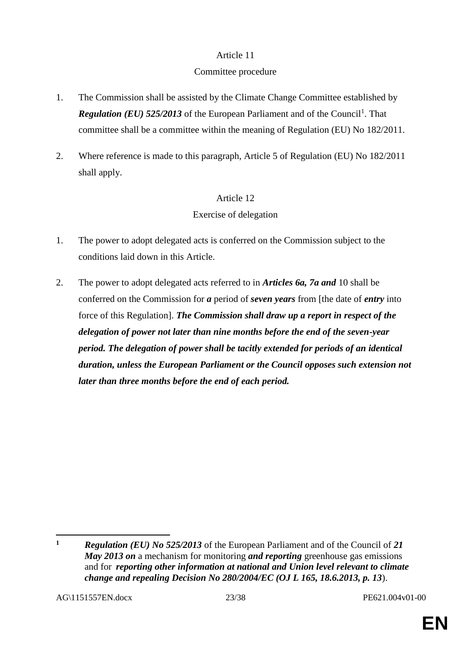## Committee procedure

- 1. The Commission shall be assisted by the Climate Change Committee established by Regulation (EU) 525/2013 of the European Parliament and of the Council<sup>1</sup>. That committee shall be a committee within the meaning of Regulation (EU) No 182/2011.
- 2. Where reference is made to this paragraph, Article 5 of Regulation (EU) No 182/2011 shall apply.

# Article 12

# Exercise of delegation

- 1. The power to adopt delegated acts is conferred on the Commission subject to the conditions laid down in this Article.
- 2. The power to adopt delegated acts referred to in *Articles 6a, 7a and* 10 shall be conferred on the Commission for *a* period of *seven years* from [the date of *entry* into force of this Regulation]. *The Commission shall draw up a report in respect of the delegation of power not later than nine months before the end of the seven-year period. The delegation of power shall be tacitly extended for periods of an identical duration, unless the European Parliament or the Council opposes such extension not later than three months before the end of each period.*

 $\overline{a}$ 

**<sup>1</sup>** *Regulation (EU) No 525/2013* of the European Parliament and of the Council of *21 May 2013 on* a mechanism for monitoring *and reporting* greenhouse gas emissions and for *reporting other information at national and Union level relevant to climate change and repealing Decision No 280/2004/EC (OJ L 165, 18.6.2013, p. 13*).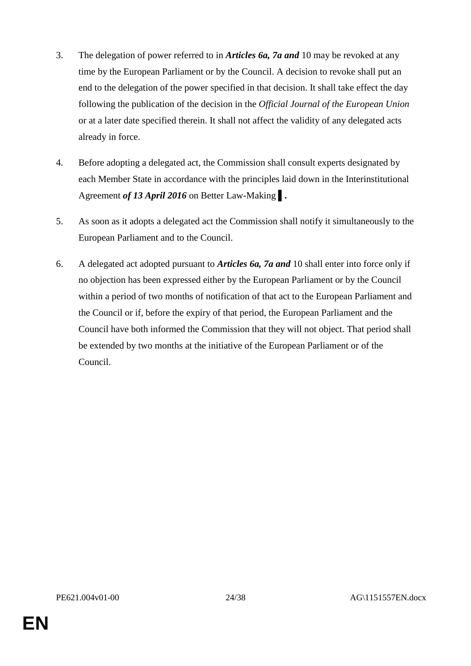- 3. The delegation of power referred to in *Articles 6a, 7a and* 10 may be revoked at any time by the European Parliament or by the Council. A decision to revoke shall put an end to the delegation of the power specified in that decision. It shall take effect the day following the publication of the decision in the *Official Journal of the European Union* or at a later date specified therein. It shall not affect the validity of any delegated acts already in force.
- 4. Before adopting a delegated act, the Commission shall consult experts designated by each Member State in accordance with the principles laid down in the Interinstitutional Agreement *of 13 April 2016* on Better Law-Making ▌*.*
- 5. As soon as it adopts a delegated act the Commission shall notify it simultaneously to the European Parliament and to the Council.
- 6. A delegated act adopted pursuant to *Articles 6a, 7a and* 10 shall enter into force only if no objection has been expressed either by the European Parliament or by the Council within a period of two months of notification of that act to the European Parliament and the Council or if, before the expiry of that period, the European Parliament and the Council have both informed the Commission that they will not object. That period shall be extended by two months at the initiative of the European Parliament or of the Council.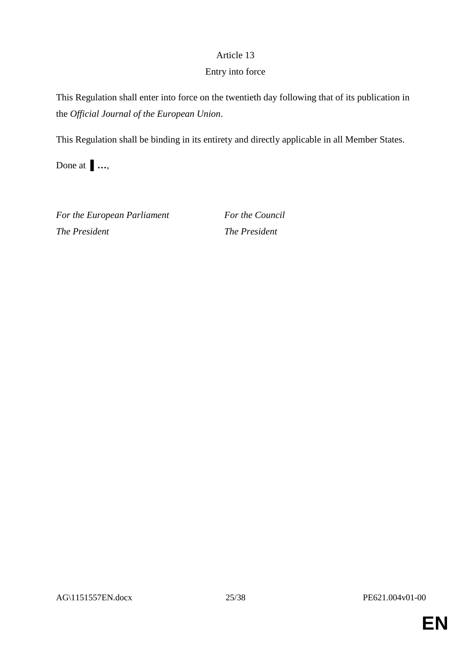## Entry into force

This Regulation shall enter into force on the twentieth day following that of its publication in the *Official Journal of the European Union*.

This Regulation shall be binding in its entirety and directly applicable in all Member States.

Done at ▌*…*,

*For the European Parliament For the Council The President The President*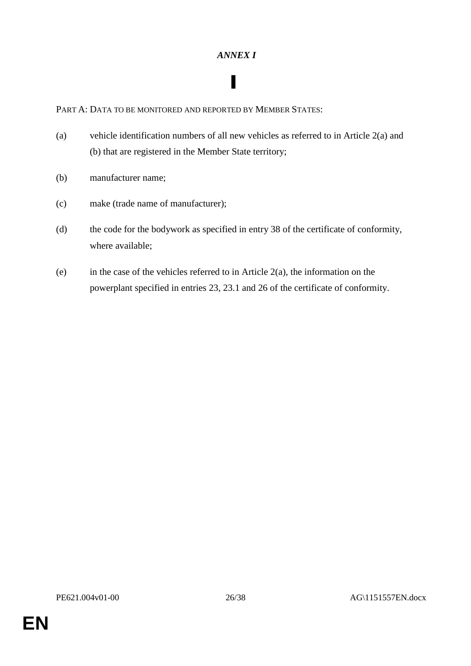## *ANNEX I*

▌

PART A: DATA TO BE MONITORED AND REPORTED BY MEMBER STATES:

- (a) vehicle identification numbers of all new vehicles as referred to in Article 2(a) and (b) that are registered in the Member State territory;
- (b) manufacturer name;
- (c) make (trade name of manufacturer);
- (d) the code for the bodywork as specified in entry 38 of the certificate of conformity, where available;
- (e) in the case of the vehicles referred to in Article  $2(a)$ , the information on the powerplant specified in entries 23, 23.1 and 26 of the certificate of conformity.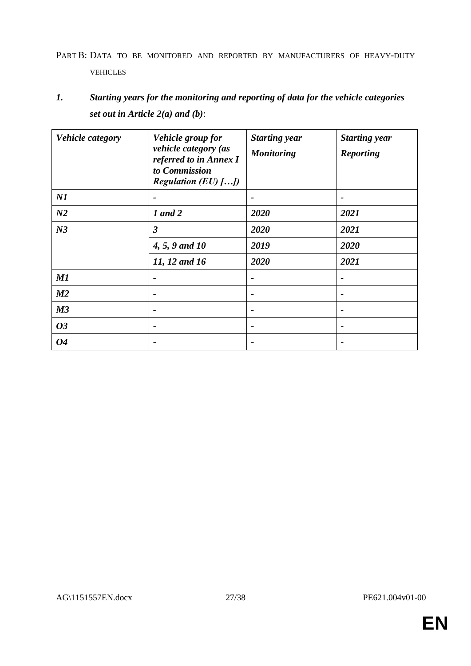# PART B: DATA TO BE MONITORED AND REPORTED BY MANUFACTURERS OF HEAVY-DUTY VEHICLES

# *1. Starting years for the monitoring and reporting of data for the vehicle categories set out in Article 2(a) and (b)*:

| <b>Vehicle category</b> | Vehicle group for<br>vehicle category (as<br>referred to in Annex I<br>to Commission<br><i>Regulation (EU)</i> $\left\{ \ldots \right\}$ | <b>Starting year</b><br><b>Monitoring</b> | <b>Starting year</b><br><b>Reporting</b> |
|-------------------------|------------------------------------------------------------------------------------------------------------------------------------------|-------------------------------------------|------------------------------------------|
| NI                      |                                                                                                                                          |                                           | $\blacksquare$                           |
| N <sub>2</sub>          | 1 and 2                                                                                                                                  | 2020                                      | 2021                                     |
| N <sub>3</sub>          | $\mathfrak{Z}$                                                                                                                           | 2020                                      | 2021                                     |
|                         | 4, 5, 9 and 10                                                                                                                           | 2019                                      | 2020                                     |
|                         | 11, 12 and 16                                                                                                                            | 2020                                      | 2021                                     |
| M1                      |                                                                                                                                          | -                                         | $\blacksquare$                           |
| M <sub>2</sub>          | $\qquad \qquad$                                                                                                                          | $\blacksquare$                            | $\blacksquare$                           |
| M3                      | $\qquad \qquad$                                                                                                                          |                                           | $\blacksquare$                           |
| 03                      |                                                                                                                                          |                                           | $\qquad \qquad \blacksquare$             |
| 04                      |                                                                                                                                          |                                           | $\qquad \qquad \blacksquare$             |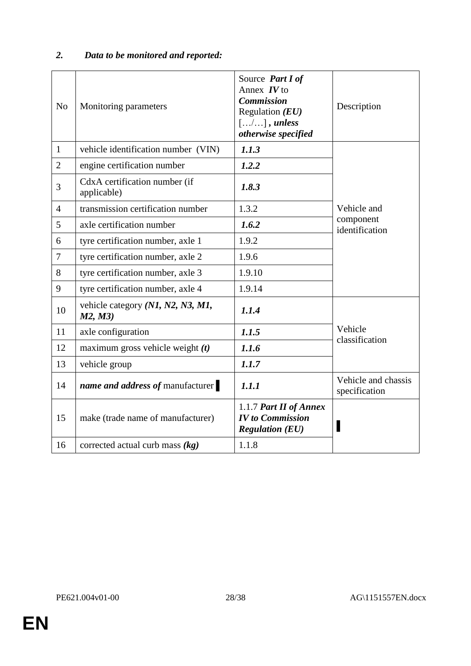# *2. Data to be monitored and reported:*

| N <sub>0</sub> | Monitoring parameters                        | Source Part I of<br>Annex $IV$ to<br><b>Commission</b><br>Regulation $(EU)$<br>$[/]$ , unless<br>otherwise specified | Description                          |  |
|----------------|----------------------------------------------|----------------------------------------------------------------------------------------------------------------------|--------------------------------------|--|
| $\mathbf{1}$   | vehicle identification number (VIN)          | 1.1.3                                                                                                                |                                      |  |
| $\overline{2}$ | engine certification number                  | 1.2.2                                                                                                                |                                      |  |
| 3              | CdxA certification number (if<br>applicable) | 1.8.3                                                                                                                |                                      |  |
| $\overline{4}$ | transmission certification number            | 1.3.2                                                                                                                | Vehicle and                          |  |
| 5              | axle certification number                    | 1.6.2                                                                                                                | component<br>identification          |  |
| 6              | tyre certification number, axle 1            | 1.9.2                                                                                                                |                                      |  |
| $\overline{7}$ | tyre certification number, axle 2            | 1.9.6                                                                                                                |                                      |  |
| 8              | tyre certification number, axle 3            | 1.9.10                                                                                                               |                                      |  |
| 9              | tyre certification number, axle 4            | 1.9.14                                                                                                               |                                      |  |
| 10             | vehicle category (N1, N2, N3, M1,<br>M2, M3) | 1.1.4                                                                                                                |                                      |  |
| 11             | axle configuration                           | 1.1.5                                                                                                                | Vehicle<br>classification            |  |
| 12             | maximum gross vehicle weight $(t)$           | 1.1.6                                                                                                                |                                      |  |
| 13             | vehicle group                                | 1.1.7                                                                                                                |                                      |  |
| 14             | name and address of manufacturer             | 1.1.1                                                                                                                | Vehicle and chassis<br>specification |  |
| 15             | make (trade name of manufacturer)            | 1.1.7 Part II of Annex<br><b>IV</b> to Commission<br><b>Regulation (EU)</b>                                          |                                      |  |
| 16             | corrected actual curb mass $(kg)$            | 1.1.8                                                                                                                |                                      |  |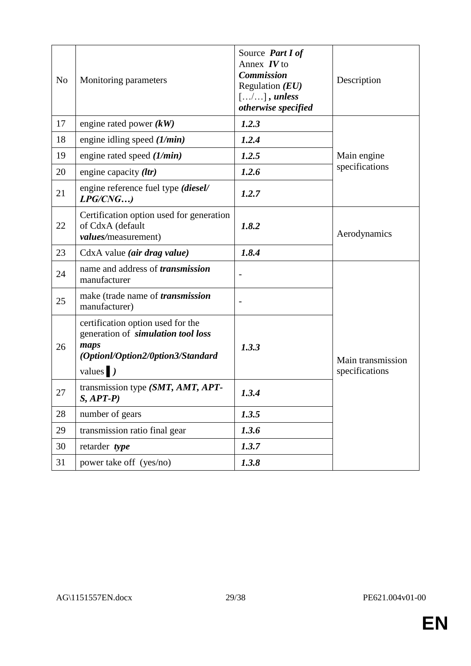| N <sub>o</sub> | Monitoring parameters                                                                                                                           | Source Part I of<br>Annex $IV$ to<br><b>Commission</b><br>Regulation $(EU)$<br>$[\ldots/\ldots]$ , unless<br>otherwise specified | Description                         |
|----------------|-------------------------------------------------------------------------------------------------------------------------------------------------|----------------------------------------------------------------------------------------------------------------------------------|-------------------------------------|
| 17             | engine rated power $(kW)$                                                                                                                       | 1.2.3                                                                                                                            |                                     |
| 18             | engine idling speed $(1/min)$                                                                                                                   | 1.2.4                                                                                                                            |                                     |
| 19             | engine rated speed $(1/min)$                                                                                                                    | 1.2.5                                                                                                                            | Main engine                         |
| 20             | engine capacity (ltr)                                                                                                                           | 1.2.6                                                                                                                            | specifications                      |
| 21             | engine reference fuel type (diesel/<br>LPG/CNG                                                                                                  | 1.2.7                                                                                                                            |                                     |
| 22             | Certification option used for generation<br>of CdxA (default<br>values/measurement)                                                             | 1.8.2                                                                                                                            | Aerodynamics                        |
| 23             | CdxA value (air drag value)                                                                                                                     | 1.8.4                                                                                                                            |                                     |
| 24             | name and address of <i>transmission</i><br>manufacturer                                                                                         |                                                                                                                                  |                                     |
| 25             | make (trade name of <i>transmission</i><br>manufacturer)                                                                                        |                                                                                                                                  |                                     |
| 26             | certification option used for the<br>generation of <i>simulation tool loss</i><br>maps<br>(Optionl/Option2/0ption3/Standard<br>values $\vert$ ) | 1.3.3                                                                                                                            | Main transmission<br>specifications |
| 27             | transmission type (SMT, AMT, APT-<br>$S, APT-P)$                                                                                                | 1.3.4                                                                                                                            |                                     |
| 28             | number of gears                                                                                                                                 | 1.3.5                                                                                                                            |                                     |
| 29             | transmission ratio final gear                                                                                                                   | 1.3.6                                                                                                                            |                                     |
| 30             | retarder type                                                                                                                                   | 1.3.7                                                                                                                            |                                     |
| 31             | power take off (yes/no)                                                                                                                         | 1.3.8                                                                                                                            |                                     |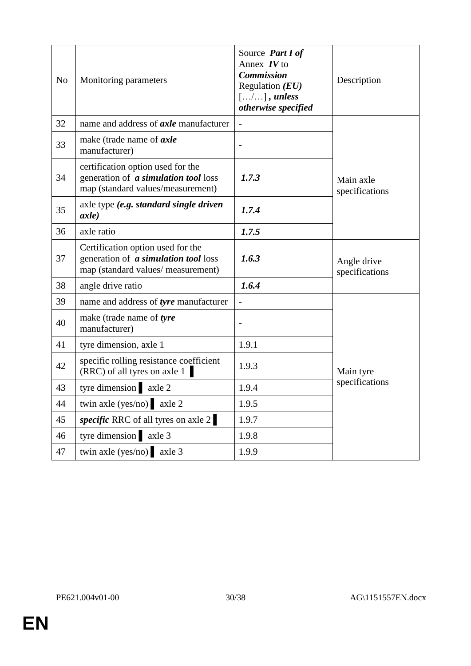| N <sub>o</sub> | Monitoring parameters                                                                                                  | Source Part I of<br>Annex $IV$ to<br><b>Commission</b><br>Regulation $(EU)$<br>$[/]$ , unless<br>otherwise specified | Description                   |
|----------------|------------------------------------------------------------------------------------------------------------------------|----------------------------------------------------------------------------------------------------------------------|-------------------------------|
| 32             | name and address of <i>axle</i> manufacturer                                                                           |                                                                                                                      |                               |
| 33             | make (trade name of axle<br>manufacturer)                                                                              |                                                                                                                      |                               |
| 34             | certification option used for the<br>generation of <i>a simulation tool</i> loss<br>map (standard values/measurement)  | 1.7.3                                                                                                                | Main axle<br>specifications   |
| 35             | axle type (e.g. standard single driven<br>axle)                                                                        | 1.7.4                                                                                                                |                               |
| 36             | axle ratio                                                                                                             | 1.7.5                                                                                                                |                               |
| 37             | Certification option used for the<br>generation of <i>a simulation tool</i> loss<br>map (standard values/ measurement) | 1.6.3                                                                                                                | Angle drive<br>specifications |
| 38             | angle drive ratio                                                                                                      | 1.6.4                                                                                                                |                               |
| 39             | name and address of tyre manufacturer                                                                                  | $\overline{a}$                                                                                                       |                               |
| 40             | make (trade name of tyre<br>manufacturer)                                                                              |                                                                                                                      |                               |
| 41             | tyre dimension, axle 1                                                                                                 | 1.9.1                                                                                                                |                               |
| 42             | specific rolling resistance coefficient<br>$(RRC)$ of all tyres on axle 1                                              | 1.9.3                                                                                                                | Main tyre                     |
| 43             | tyre dimension axle 2                                                                                                  | 1.9.4                                                                                                                | specifications                |
| 44             | twin axle (yes/no) $axle 2$                                                                                            | 1.9.5                                                                                                                |                               |
| 45             | specific RRC of all tyres on axle 2                                                                                    | 1.9.7                                                                                                                |                               |
| 46             | tyre dimension axle 3                                                                                                  | 1.9.8                                                                                                                |                               |
| 47             | twin axle (yes/no) $axle 3$                                                                                            | 1.9.9                                                                                                                |                               |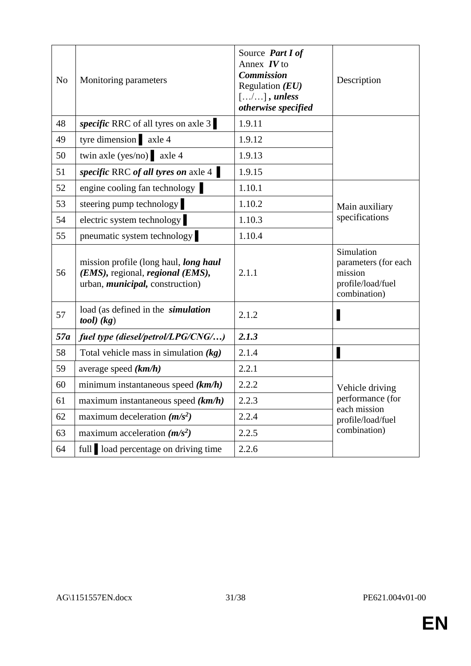| N <sub>o</sub> | Monitoring parameters                                                                                                | Source <i>Part I of</i><br>Annex $IV$ to<br><b>Commission</b><br>Regulation $(EU)$<br>$[/]$ , unless<br>otherwise specified | Description                                                                        |  |
|----------------|----------------------------------------------------------------------------------------------------------------------|-----------------------------------------------------------------------------------------------------------------------------|------------------------------------------------------------------------------------|--|
| 48             | <i>specific</i> RRC of all tyres on axle 3                                                                           | 1.9.11                                                                                                                      |                                                                                    |  |
| 49             | tyre dimension axle 4                                                                                                | 1.9.12                                                                                                                      |                                                                                    |  |
| 50             | twin axle (yes/no) $axle 4$                                                                                          | 1.9.13                                                                                                                      |                                                                                    |  |
| 51             | specific RRC of all tyres on axle 4                                                                                  | 1.9.15                                                                                                                      |                                                                                    |  |
| 52             | engine cooling fan technology                                                                                        | 1.10.1                                                                                                                      |                                                                                    |  |
| 53             | steering pump technology                                                                                             | 1.10.2                                                                                                                      | Main auxiliary                                                                     |  |
| 54             | electric system technology                                                                                           | 1.10.3                                                                                                                      | specifications                                                                     |  |
| 55             | pneumatic system technology                                                                                          | 1.10.4                                                                                                                      |                                                                                    |  |
| 56             | mission profile (long haul, long haul<br>(EMS), regional, regional (EMS),<br>urban, <i>municipal</i> , construction) | 2.1.1                                                                                                                       | Simulation<br>parameters (for each<br>mission<br>profile/load/fuel<br>combination) |  |
| 57             | load (as defined in the <i>simulation</i><br>$tool)$ $(kg)$                                                          | 2.1.2                                                                                                                       |                                                                                    |  |
| 57a            | fuel type (diesel/petrol/LPG/CNG/)                                                                                   | 2.1.3                                                                                                                       |                                                                                    |  |
| 58             | Total vehicle mass in simulation $(kg)$                                                                              | 2.1.4                                                                                                                       |                                                                                    |  |
| 59             | average speed $(km/h)$                                                                                               | 2.2.1                                                                                                                       |                                                                                    |  |
| 60             | minimum instantaneous speed $(km/h)$                                                                                 | 2.2.2                                                                                                                       | Vehicle driving                                                                    |  |
| 61             | maximum instantaneous speed $(km/h)$                                                                                 | 2.2.3                                                                                                                       | performance (for<br>each mission                                                   |  |
| 62             | maximum deceleration $(m/s^2)$                                                                                       | 2.2.4                                                                                                                       | profile/load/fuel                                                                  |  |
| 63             | maximum acceleration $(m/s^2)$                                                                                       | 2.2.5                                                                                                                       | combination)                                                                       |  |
| 64             | full load percentage on driving time                                                                                 | 2.2.6                                                                                                                       |                                                                                    |  |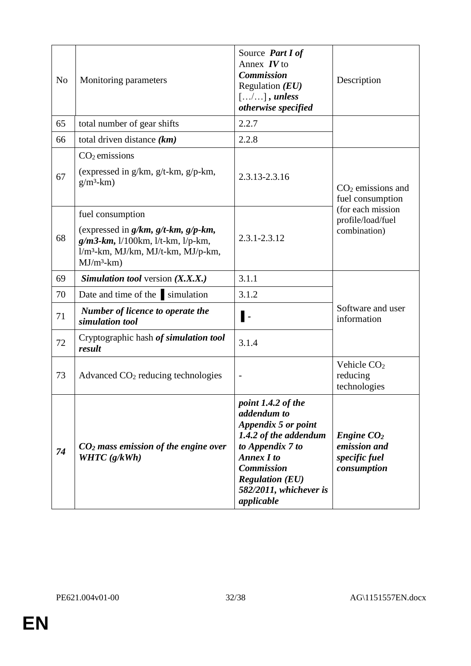| N <sub>0</sub> | Monitoring parameters                                                                                                                                                               | Source Part I of<br>Annex $IV$ to<br><b>Commission</b><br>Regulation $(EU)$<br>$[\ldots/\ldots]$ , unless<br>otherwise specified                                                                                  | Description                                                  |  |
|----------------|-------------------------------------------------------------------------------------------------------------------------------------------------------------------------------------|-------------------------------------------------------------------------------------------------------------------------------------------------------------------------------------------------------------------|--------------------------------------------------------------|--|
| 65             | total number of gear shifts                                                                                                                                                         | 2.2.7                                                                                                                                                                                                             |                                                              |  |
| 66             | total driven distance $(km)$                                                                                                                                                        | 2.2.8                                                                                                                                                                                                             |                                                              |  |
| 67             | $CO2$ emissions<br>(expressed in $g/km$ , $g/t-km$ , $g/p-km$ ,<br>$g/m3$ -km)                                                                                                      | 2.3.13-2.3.16                                                                                                                                                                                                     | $CO2$ emissions and<br>fuel consumption                      |  |
| 68             | fuel consumption<br>(expressed in $g/km$ , $g/t$ -km, $g/p$ -km,<br>$g/m3$ -km, $1/100$ km, $1/t$ -km, $1/p$ -km,<br>l/m <sup>3</sup> -km, MJ/km, MJ/t-km, MJ/p-km,<br>$MJ/m3$ -km) | $2.3.1 - 2.3.12$                                                                                                                                                                                                  | (for each mission<br>profile/load/fuel<br>combination)       |  |
| 69             | <b>Simulation tool</b> version $(X, X, X)$                                                                                                                                          | 3.1.1                                                                                                                                                                                                             |                                                              |  |
| 70             | Date and time of the simulation                                                                                                                                                     | 3.1.2                                                                                                                                                                                                             |                                                              |  |
| 71             | Number of licence to operate the<br>simulation tool                                                                                                                                 | Ι.                                                                                                                                                                                                                | Software and user<br>information                             |  |
| 72             | Cryptographic hash of simulation tool<br>result                                                                                                                                     | 3.1.4                                                                                                                                                                                                             |                                                              |  |
| 73             | Advanced $CO2$ reducing technologies                                                                                                                                                |                                                                                                                                                                                                                   | Vehicle CO <sub>2</sub><br>reducing<br>technologies          |  |
| 74             | $CO2$ mass emission of the engine over<br>WHTC $(g/kWh)$                                                                                                                            | point 1.4.2 of the<br>addendum to<br>Appendix 5 or point<br>1.4.2 of the addendum<br>to Appendix 7 to<br><b>Annex I to</b><br><b>Commission</b><br><b>Regulation (EU)</b><br>582/2011, whichever is<br>applicable | Engine $CO2$<br>emission and<br>specific fuel<br>consumption |  |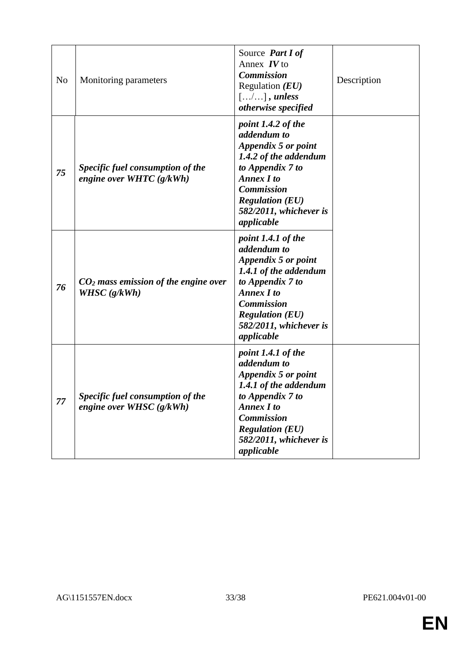| N <sub>0</sub> | Monitoring parameters                                          | Source Part I of<br>Annex $IV$ to<br><b>Commission</b><br>Regulation $(EU)$<br>$[\ldots,\ldots]$ , unless<br>otherwise specified                                                                                  | Description |
|----------------|----------------------------------------------------------------|-------------------------------------------------------------------------------------------------------------------------------------------------------------------------------------------------------------------|-------------|
| 75             | Specific fuel consumption of the<br>engine over WHTC $(g/kWh)$ | point 1.4.2 of the<br>addendum to<br>Appendix 5 or point<br>1.4.2 of the addendum<br>to Appendix 7 to<br><b>Annex I to</b><br><b>Commission</b><br><b>Regulation (EU)</b><br>582/2011, whichever is<br>applicable |             |
| 76             | $CO2$ mass emission of the engine over<br>WHSC $(g/kWh)$       | point 1.4.1 of the<br>addendum to<br>Appendix 5 or point<br>1.4.1 of the addendum<br>to Appendix 7 to<br><b>Annex I to</b><br><b>Commission</b><br><b>Regulation (EU)</b><br>582/2011, whichever is<br>applicable |             |
| 77             | Specific fuel consumption of the<br>engine over WHSC $(g/kWh)$ | point 1.4.1 of the<br>addendum to<br>Appendix 5 or point<br>1.4.1 of the addendum<br>to Appendix 7 to<br><b>Annex I to</b><br><b>Commission</b><br><b>Regulation (EU)</b><br>582/2011, whichever is<br>applicable |             |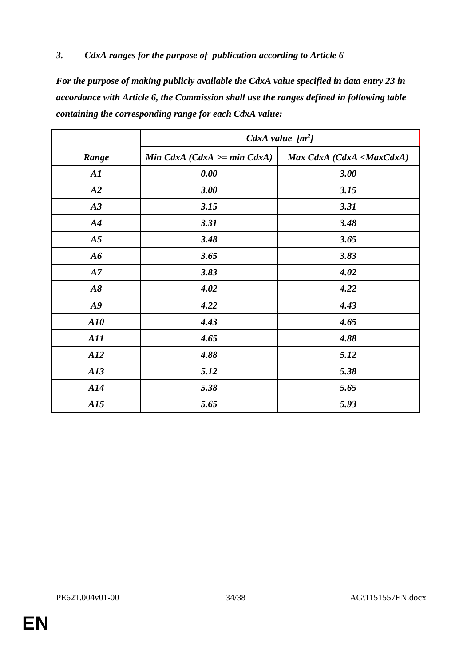# *3. CdxA ranges for the purpose of publication according to Article 6*

*For the purpose of making publicly available the CdxA value specified in data entry 23 in accordance with Article 6, the Commission shall use the ranges defined in following table containing the corresponding range for each CdxA value:*

|            | CdxA value $[m^2]$            |                                              |
|------------|-------------------------------|----------------------------------------------|
| Range      | Min CdxA $(CdxA >= min CdxA)$ | Max CdxA (CdxA <maxcdxa)< td=""></maxcdxa)<> |
| A1         | 0.00                          | 3.00                                         |
| A2         | 3.00                          | 3.15                                         |
| A3         | 3.15                          | 3.31                                         |
| A4         | 3.31                          | 3.48                                         |
| A5         | 3.48                          | 3.65                                         |
| A6         | 3.65                          | 3.83                                         |
| A7         | 3.83                          | 4.02                                         |
| A8         | 4.02                          | 4.22                                         |
| A9         | 4.22                          | 4.43                                         |
| A10        | 4.43                          | 4.65                                         |
| <b>A11</b> | 4.65                          | 4.88                                         |
| A12        | 4.88                          | 5.12                                         |
| A13        | 5.12                          | 5.38                                         |
| A14        | 5.38                          | 5.65                                         |
| A15        | 5.65                          | 5.93                                         |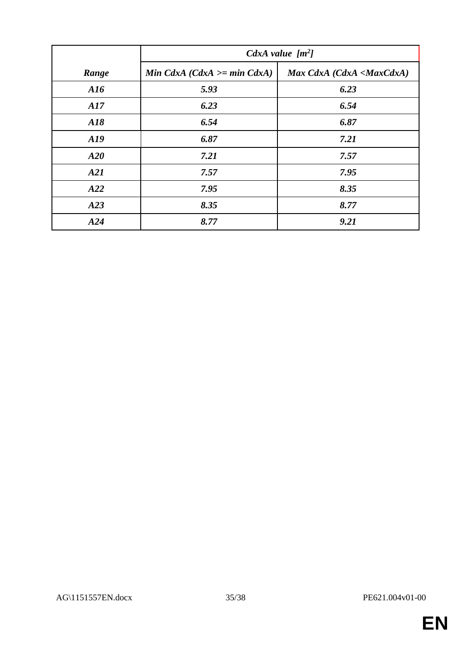|                  | CdxA value $[m^2]$            |                                              |  |
|------------------|-------------------------------|----------------------------------------------|--|
| Range            | Min CdxA $(CdxA >= min CdxA)$ | Max CdxA (CdxA <maxcdxa)< th=""></maxcdxa)<> |  |
| $\overline{A16}$ | 5.93                          | 6.23                                         |  |
| A17              | 6.23                          | 6.54                                         |  |
| A18              | 6.54                          | 6.87                                         |  |
| A19              | 6.87                          | 7.21                                         |  |
| A20              | 7.21                          | 7.57                                         |  |
| A21              | 7.57                          | 7.95                                         |  |
| A22              | 7.95                          | 8.35                                         |  |
| A23              | 8.35                          | 8.77                                         |  |
| A24              | 8.77                          | 9.21                                         |  |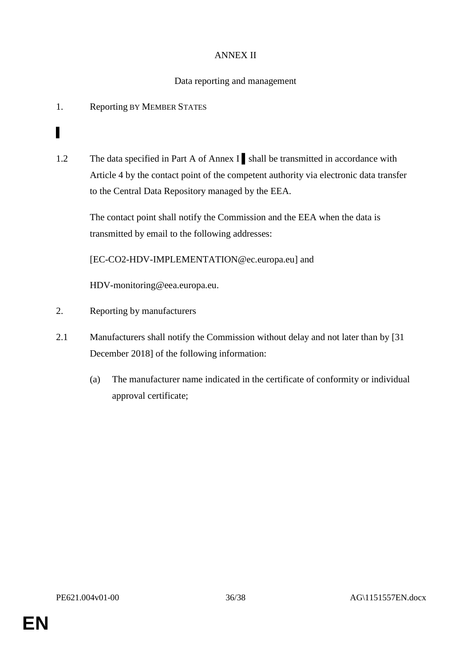# ANNEX II

# Data reporting and management

1. Reporting BY MEMBER STATES

▌

1.2 The data specified in Part A of Annex I ▌shall be transmitted in accordance with Article 4 by the contact point of the competent authority via electronic data transfer to the Central Data Repository managed by the EEA.

The contact point shall notify the Commission and the EEA when the data is transmitted by email to the following addresses:

[\[EC-CO2-HDV-IMPLEMENTATION@ec.europa.eu\]](mailto:EC-CO2-HDV-IMPLEMENTATION@ec.europa.eu) and

[HDV-monitoring@eea.europa.eu.](mailto:CO2-monitoring@eea.europa.eu)

- 2. Reporting by manufacturers
- 2.1 Manufacturers shall notify the Commission without delay and not later than by [31 December 2018] of the following information:
	- (a) The manufacturer name indicated in the certificate of conformity or individual approval certificate;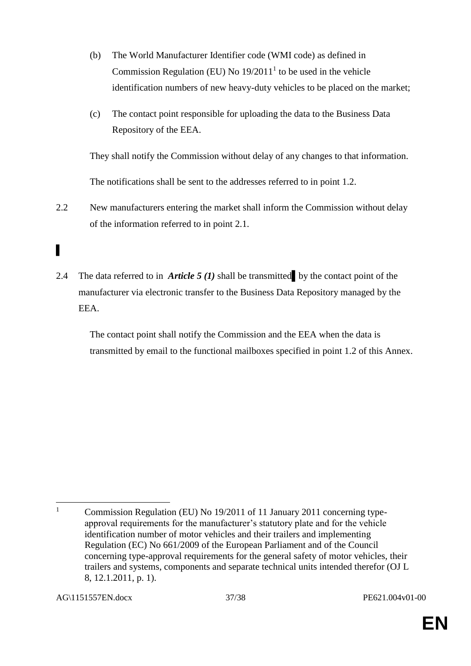- (b) The World Manufacturer Identifier code (WMI code) as defined in Commission Regulation (EU) No  $19/2011<sup>1</sup>$  to be used in the vehicle identification numbers of new heavy-duty vehicles to be placed on the market;
- (c) The contact point responsible for uploading the data to the Business Data Repository of the EEA.

They shall notify the Commission without delay of any changes to that information.

The notifications shall be sent to the addresses referred to in point 1.2.

2.2 New manufacturers entering the market shall inform the Commission without delay of the information referred to in point 2.1.

# ▌

2.4 The data referred to in *Article 5 (1)* shall be transmitted by the contact point of the manufacturer via electronic transfer to the Business Data Repository managed by the EEA.

The contact point shall notify the Commission and the EEA when the data is transmitted by email to the functional mailboxes specified in point 1.2 of this Annex.

 $\mathbf{1}$ <sup>1</sup> Commission Regulation (EU) No 19/2011 of 11 January 2011 concerning typeapproval requirements for the manufacturer's statutory plate and for the vehicle identification number of motor vehicles and their trailers and implementing Regulation (EC) No 661/2009 of the European Parliament and of the Council concerning type-approval requirements for the general safety of motor vehicles, their trailers and systems, components and separate technical units intended therefor (OJ L 8, 12.1.2011, p. 1).